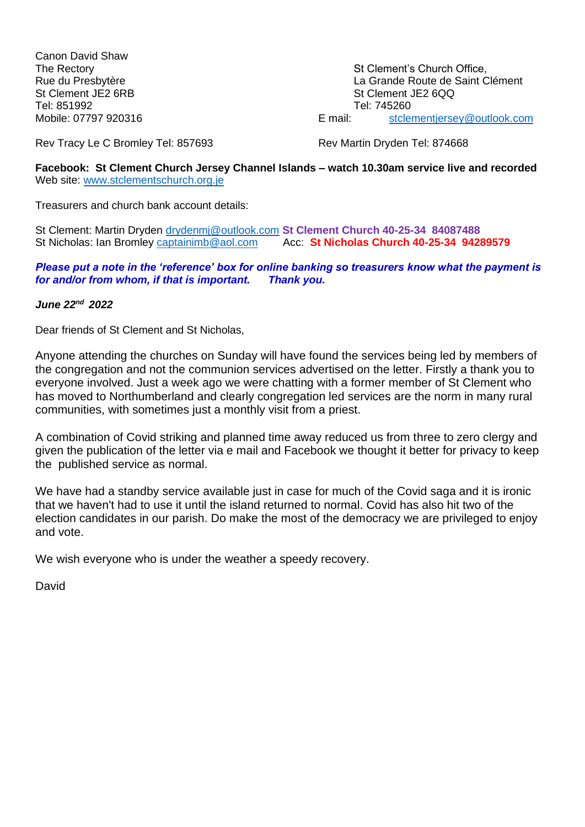Canon David Shaw Tel: 851992 Tel: 745260

The Rectory **St Clement's Church Office,** St Clement's Church Office, Rue du Presbytère **La Grande Route de Saint Clément** St Clement JE2 6RB St Clement JE2 6QQ Mobile: 07797 920316 **E** mail: [stclementjersey@outlook.com](mailto:stclementjersey@outlook.com)

Rev Tracy Le C Bromley Tel: 857693 Rev Martin Dryden Tel: 874668

**Facebook: St Clement Church Jersey Channel Islands – watch 10.30am service live and recorded**  Web site: [www.stclementschurch.org.je](http://www.stclementschurch.org.je/)

Treasurers and church bank account details:

St Clement: Martin Dryden [drydenmj@outlook.com](mailto:drydenmj@outlook.com) **St Clement Church 40-25-34 84087488** St Nicholas: Ian Bromley [captainimb@aol.com](mailto:captainimb@aol.com) Acc: **St Nicholas Church 40-25-34 94289579**

*Please put a note in the 'reference' box for online banking so treasurers know what the payment is for and/or from whom, if that is important. Thank you.*

#### June 22<sup>nd</sup> 2022

Dear friends of St Clement and St Nicholas,

Anyone attending the churches on Sunday will have found the services being led by members of the congregation and not the communion services advertised on the letter. Firstly a thank you to everyone involved. Just a week ago we were chatting with a former member of St Clement who has moved to Northumberland and clearly congregation led services are the norm in many rural communities, with sometimes just a monthly visit from a priest.

A combination of Covid striking and planned time away reduced us from three to zero clergy and given the publication of the letter via e mail and Facebook we thought it better for privacy to keep the published service as normal.

We have had a standby service available just in case for much of the Covid saga and it is ironic that we haven't had to use it until the island returned to normal. Covid has also hit two of the election candidates in our parish. Do make the most of the democracy we are privileged to enjoy and vote.

We wish everyone who is under the weather a speedy recovery.

David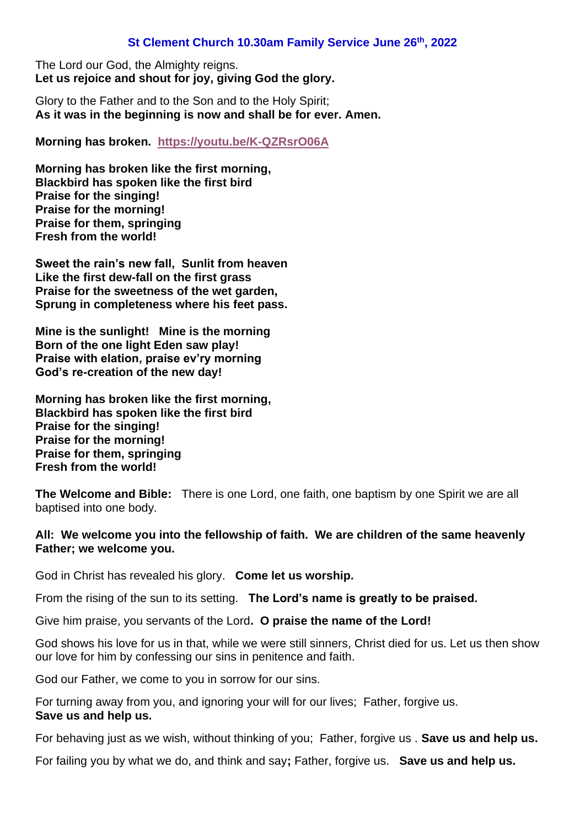## **St Clement Church 10.30am Family Service June 26th, 2022**

The Lord our God, the Almighty reigns. **Let us rejoice and shout for joy, giving God the glory.**

Glory to the Father and to the Son and to the Holy Spirit; **As it was in the beginning is now and shall be for ever. Amen.**

**Morning has broken. <https://youtu.be/K-QZRsrO06A>**

**Morning has broken like the first morning, Blackbird has spoken like the first bird Praise for the singing! Praise for the morning! Praise for them, springing Fresh from the world!**

**Sweet the rain's new fall, Sunlit from heaven Like the first dew-fall on the first grass Praise for the sweetness of the wet garden, Sprung in completeness where his feet pass.**

**Mine is the sunlight! Mine is the morning Born of the one light Eden saw play! Praise with elation, praise ev'ry morning God's re-creation of the new day!**

**Morning has broken like the first morning, Blackbird has spoken like the first bird Praise for the singing! Praise for the morning! Praise for them, springing Fresh from the world!**

**The Welcome and Bible:** There is one Lord, one faith, one baptism by one Spirit we are all baptised into one body.

### **All: We welcome you into the fellowship of faith. We are children of the same heavenly Father; we welcome you.**

God in Christ has revealed his glory. **Come let us worship.**

From the rising of the sun to its setting. **The Lord's name is greatly to be praised.**

Give him praise, you servants of the Lord**. O praise the name of the Lord!**

God shows his love for us in that, while we were still sinners, Christ died for us. Let us then show our love for him by confessing our sins in penitence and faith.

God our Father, we come to you in sorrow for our sins.

For turning away from you, and ignoring your will for our lives; Father, forgive us. **Save us and help us.**

For behaving just as we wish, without thinking of you; Father, forgive us . **Save us and help us.**

For failing you by what we do, and think and say**;** Father, forgive us. **Save us and help us.**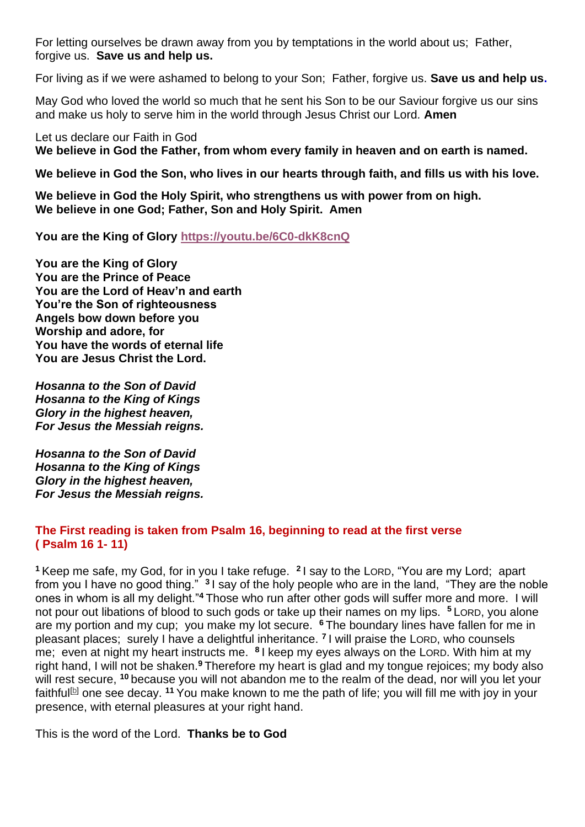For letting ourselves be drawn away from you by temptations in the world about us; Father, forgive us. **Save us and help us.**

For living as if we were ashamed to belong to your Son; Father, forgive us. **Save us and help us.**

May God who loved the world so much that he sent his Son to be our Saviour forgive us our sins and make us holy to serve him in the world through Jesus Christ our Lord*.* **Amen**

Let us declare our Faith in God **We believe in God the Father, from whom every family in heaven and on earth is named.**

**We believe in God the Son, who lives in our hearts through faith, and fills us with his love.**

**We believe in God the Holy Spirit, who strengthens us with power from on high. We believe in one God; Father, Son and Holy Spirit. Amen**

**You are the King of Glory<https://youtu.be/6C0-dkK8cnQ>**

**You are the King of Glory You are the Prince of Peace You are the Lord of Heav'n and earth You're the Son of righteousness Angels bow down before you Worship and adore, for You have the words of eternal life You are Jesus Christ the Lord.**

*Hosanna to the Son of David Hosanna to the King of Kings Glory in the highest heaven, For Jesus the Messiah reigns.*

*Hosanna to the Son of David Hosanna to the King of Kings Glory in the highest heaven, For Jesus the Messiah reigns.*

### **The First reading is taken from Psalm 16, beginning to read at the first verse ( Psalm 16 1- 11)**

<sup>1</sup> Keep me safe, my God, for in you I take refuge. <sup>2</sup> I say to the LORD, "You are my Lord; apart from you I have no good thing." <sup>3</sup> I say of the holy people who are in the land, "They are the noble ones in whom is all my delight."**<sup>4</sup>** Those who run after other gods will suffer more and more. I will not pour out libations of blood to such gods or take up their names on my lips. **<sup>5</sup>** LORD, you alone are my portion and my cup; you make my lot secure. **<sup>6</sup>** The boundary lines have fallen for me in pleasant places; surely I have a delightful inheritance. **<sup>7</sup>** I will praise the LORD, who counsels me; even at night my heart instructs me. <sup>8</sup> I keep my eyes always on the LORD. With him at my right hand, I will not be shaken.**<sup>9</sup>** Therefore my heart is glad and my tongue rejoices; my body also will rest secure, **<sup>10</sup>** because you will not abandon me to the realm of the dead, nor will you let your faithful<sup>[\[b\]](https://www.biblegateway.com/passage/?search=Psalm%2016&version=NIV#fen-NIV-14103b)</sup> one see decay. <sup>11</sup> You make known to me the path of life; you will fill me with joy in your presence, with eternal pleasures at your right hand.

This is the word of the Lord. **Thanks be to God**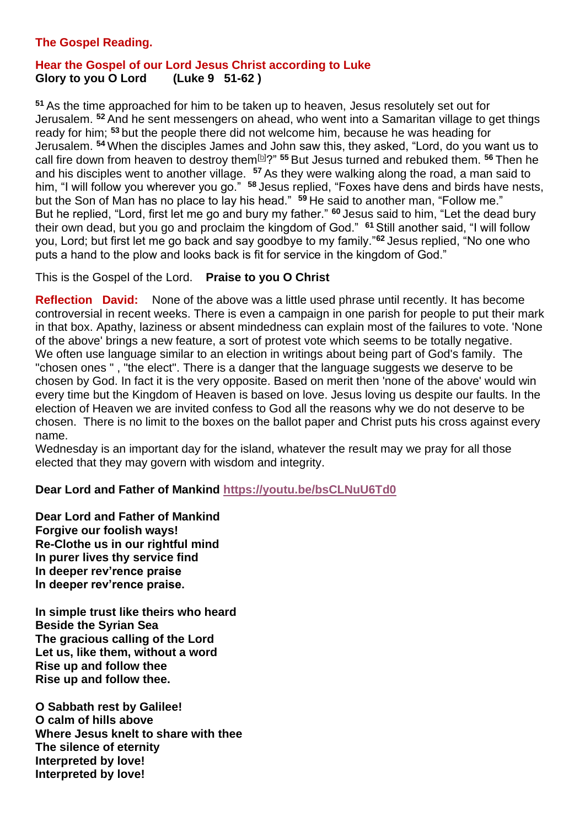# **The Gospel Reading.**

# **Hear the Gospel of our Lord Jesus Christ according to Luke Glory to you O Lord (Luke 9 51-62 )**

**<sup>51</sup>** As the time approached for him to be taken up to heaven, Jesus resolutely set out for Jerusalem. **<sup>52</sup>** And he sent messengers on ahead, who went into a Samaritan village to get things ready for him; **<sup>53</sup>** but the people there did not welcome him, because he was heading for Jerusalem. **<sup>54</sup>** When the disciples James and John saw this, they asked, "Lord, do you want us to call fire down from heaven to destroy them[b]?" **<sup>55</sup>** But Jesus turned and rebuked them. **<sup>56</sup>** Then he and his disciples went to another village. **<sup>57</sup>** As they were walking along the road, a man said to him, "I will follow you wherever you go." <sup>58</sup> Jesus replied, "Foxes have dens and birds have nests, but the Son of Man has no place to lay his head." **<sup>59</sup>** He said to another man, "Follow me." But he replied, "Lord, first let me go and bury my father." **<sup>60</sup>** Jesus said to him, "Let the dead bury their own dead, but you go and proclaim the kingdom of God." **<sup>61</sup>** Still another said, "I will follow you, Lord; but first let me go back and say goodbye to my family."**<sup>62</sup>** Jesus replied, "No one who puts a hand to the plow and looks back is fit for service in the kingdom of God."

### This is the Gospel of the Lord. **Praise to you O Christ**

**Reflection David:** None of the above was a little used phrase until recently. It has become controversial in recent weeks. There is even a campaign in one parish for people to put their mark in that box. Apathy, laziness or absent mindedness can explain most of the failures to vote. 'None of the above' brings a new feature, a sort of protest vote which seems to be totally negative. We often use language similar to an election in writings about being part of God's family. The "chosen ones " , "the elect". There is a danger that the language suggests we deserve to be chosen by God. In fact it is the very opposite. Based on merit then 'none of the above' would win every time but the Kingdom of Heaven is based on love. Jesus loving us despite our faults. In the election of Heaven we are invited confess to God all the reasons why we do not deserve to be chosen. There is no limit to the boxes on the ballot paper and Christ puts his cross against every name.

Wednesday is an important day for the island, whatever the result may we pray for all those elected that they may govern with wisdom and integrity.

## **Dear Lord and Father of Mankind https://youtu.be/bsCLNuU6Td0**

**Dear Lord and Father of Mankind Forgive our foolish ways! Re-Clothe us in our rightful mind In purer lives thy service find In deeper rev'rence praise In deeper rev'rence praise.**

**In simple trust like theirs who heard Beside the Syrian Sea The gracious calling of the Lord Let us, like them, without a word Rise up and follow thee Rise up and follow thee.**

**O Sabbath rest by Galilee! O calm of hills above Where Jesus knelt to share with thee The silence of eternity Interpreted by love! Interpreted by love!**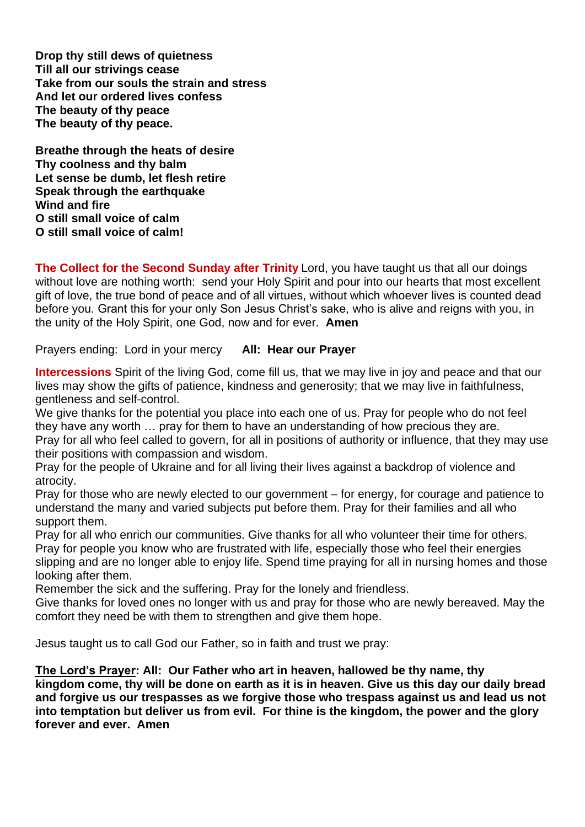**Drop thy still dews of quietness Till all our strivings cease Take from our souls the strain and stress And let our ordered lives confess The beauty of thy peace The beauty of thy peace.**

**Breathe through the heats of desire Thy coolness and thy balm Let sense be dumb, let flesh retire Speak through the earthquake Wind and fire O still small voice of calm O still small voice of calm!**

**The Collect for the Second Sunday after Trinity** Lord, you have taught us that all our doings without love are nothing worth: send your Holy Spirit and pour into our hearts that most excellent gift of love, the true bond of peace and of all virtues, without which whoever lives is counted dead before you. Grant this for your only Son Jesus Christ's sake, who is alive and reigns with you, in the unity of the Holy Spirit, one God, now and for ever. **Amen**

Prayers ending: Lord in your mercy **All: Hear our Prayer**

**Intercessions** Spirit of the living God, come fill us, that we may live in joy and peace and that our lives may show the gifts of patience, kindness and generosity; that we may live in faithfulness, gentleness and self-control.

We give thanks for the potential you place into each one of us. Pray for people who do not feel they have any worth … pray for them to have an understanding of how precious they are. Pray for all who feel called to govern, for all in positions of authority or influence, that they may use their positions with compassion and wisdom.

Pray for the people of Ukraine and for all living their lives against a backdrop of violence and atrocity.

Pray for those who are newly elected to our government – for energy, for courage and patience to understand the many and varied subjects put before them. Pray for their families and all who support them.

Pray for all who enrich our communities. Give thanks for all who volunteer their time for others. Pray for people you know who are frustrated with life, especially those who feel their energies slipping and are no longer able to enjoy life. Spend time praying for all in nursing homes and those looking after them.

Remember the sick and the suffering. Pray for the lonely and friendless.

Give thanks for loved ones no longer with us and pray for those who are newly bereaved. May the comfort they need be with them to strengthen and give them hope.

Jesus taught us to call God our Father, so in faith and trust we pray:

**The Lord's Prayer: All: Our Father who art in heaven, hallowed be thy name, thy kingdom come, thy will be done on earth as it is in heaven. Give us this day our daily bread and forgive us our trespasses as we forgive those who trespass against us and lead us not into temptation but deliver us from evil. For thine is the kingdom, the power and the glory forever and ever. Amen**